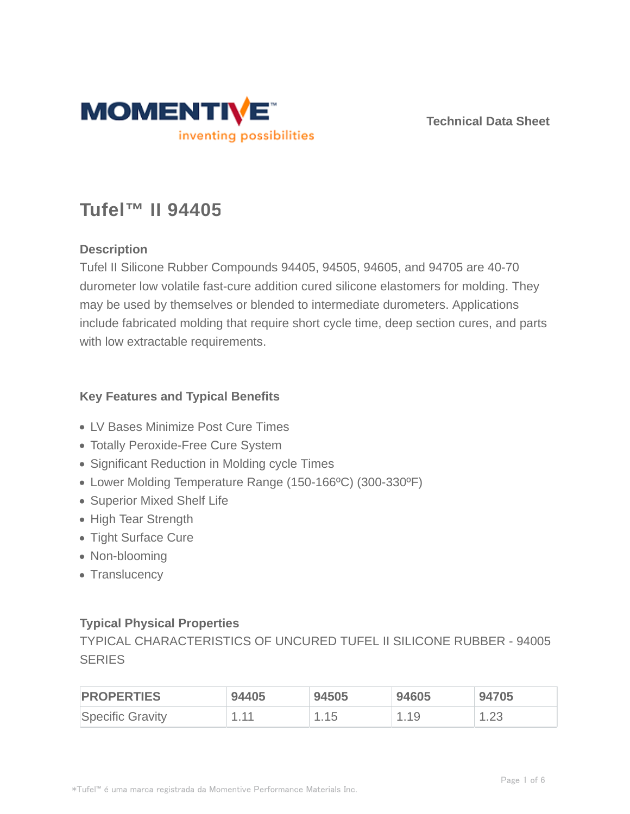

**Technical Data Sheet**

# **Tufel™ II 94405**

## **Description**

Tufel II Silicone Rubber Compounds 94405, 94505, 94605, and 94705 are 40-70 durometer low volatile fast-cure addition cured silicone elastomers for molding. They may be used by themselves or blended to intermediate durometers. Applications include fabricated molding that require short cycle time, deep section cures, and parts with low extractable requirements.

### **Key Features and Typical Benefits**

- LV Bases Minimize Post Cure Times
- Totally Peroxide-Free Cure System
- Significant Reduction in Molding cycle Times
- Lower Molding Temperature Range (150-166ºC) (300-330ºF)
- Superior Mixed Shelf Life
- High Tear Strength
- Tight Surface Cure
- Non-blooming
- Translucency

## **Typical Physical Properties**

TYPICAL CHARACTERISTICS OF UNCURED TUFEL II SILICONE RUBBER - 94005 **SERIES** 

| <b>PROPERTIES</b> | 94405 | 94505 | 94605  | 94705   |
|-------------------|-------|-------|--------|---------|
| Specific Gravity  | $-11$ | 15، ، | . . 19 | ں ے ، ا |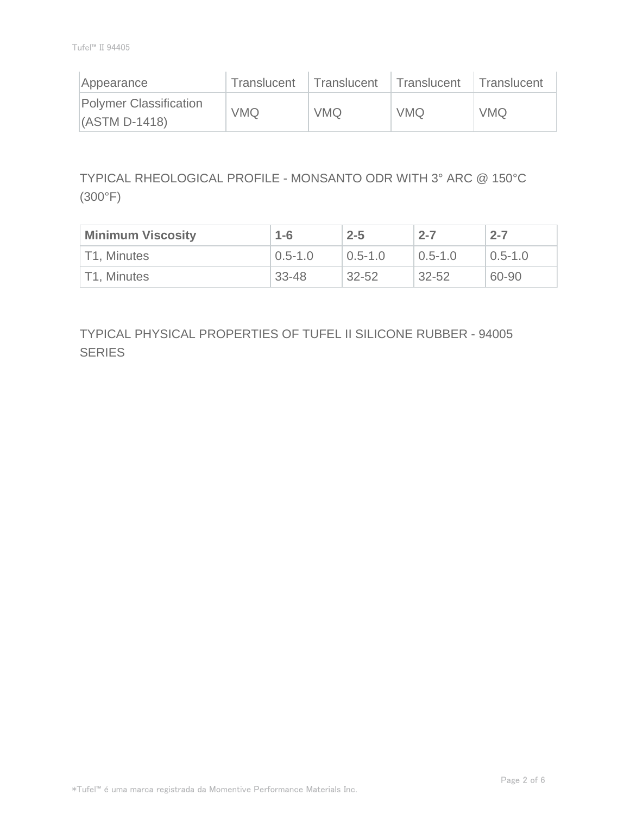| Appearance                                | Translucent | Translucent | Translucent | Translucent |
|-------------------------------------------|-------------|-------------|-------------|-------------|
| Polymer Classification<br>$(ASTM D-1418)$ | <b>VMQ</b>  | <b>VMQ</b>  | <b>VMQ</b>  | <b>VMQ</b>  |

TYPICAL RHEOLOGICAL PROFILE - MONSANTO ODR WITH 3° ARC @ 150°C (300°F)

| <b>Minimum Viscosity</b> | $1 - 6$     | $2 - 5$     | $2 - 7$     | $2 - 7$     |
|--------------------------|-------------|-------------|-------------|-------------|
| T1, Minutes              | $0.5 - 1.0$ | $0.5 - 1.0$ | $0.5 - 1.0$ | $0.5 - 1.0$ |
| T1, Minutes              | 33-48       | $32 - 52$   | $32 - 52$   | 60-90       |

TYPICAL PHYSICAL PROPERTIES OF TUFEL II SILICONE RUBBER - 94005 **SERIES**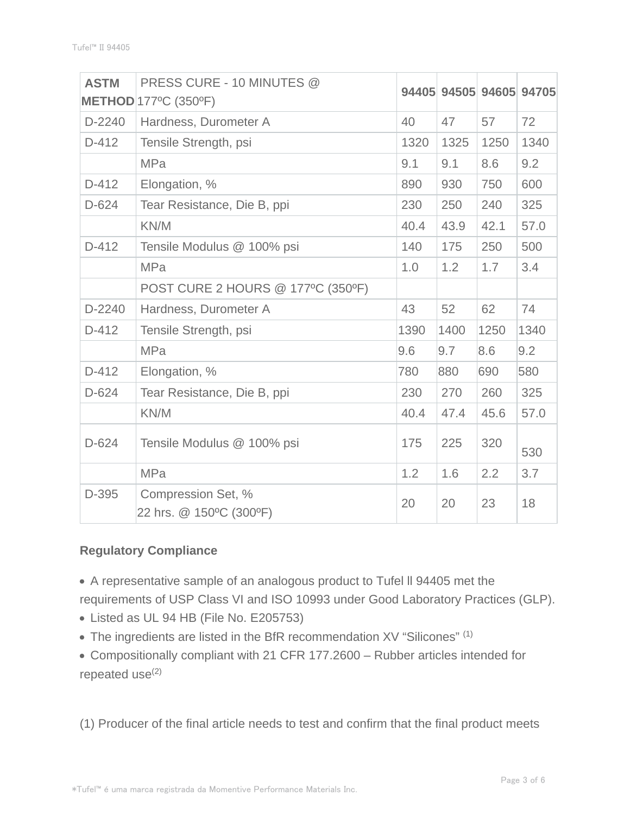| <b>ASTM</b> | PRESS CURE - 10 MINUTES @                     |      |      |      | 94405 94505 94605 94705 |
|-------------|-----------------------------------------------|------|------|------|-------------------------|
|             | <b>METHOD</b> 177°C (350°F)                   |      |      |      |                         |
| D-2240      | Hardness, Durometer A                         | 40   | 47   | 57   | 72                      |
| $D-412$     | Tensile Strength, psi                         | 1320 | 1325 | 1250 | 1340                    |
|             | <b>MPa</b>                                    | 9.1  | 9.1  | 8.6  | 9.2                     |
| $D-412$     | Elongation, %                                 | 890  | 930  | 750  | 600                     |
| $D-624$     | Tear Resistance, Die B, ppi                   | 230  | 250  | 240  | 325                     |
|             | KN/M                                          | 40.4 | 43.9 | 42.1 | 57.0                    |
| $D-412$     | Tensile Modulus @ 100% psi                    | 140  | 175  | 250  | 500                     |
|             | <b>MPa</b>                                    | 1.0  | 1.2  | 1.7  | 3.4                     |
|             | POST CURE 2 HOURS @ 177°C (350°F)             |      |      |      |                         |
| $D-2240$    | Hardness, Durometer A                         | 43   | 52   | 62   | 74                      |
| $D-412$     | Tensile Strength, psi                         | 1390 | 1400 | 1250 | 1340                    |
|             | <b>MPa</b>                                    | 9.6  | 9.7  | 8.6  | 9.2                     |
| $D-412$     | Elongation, %                                 | 780  | 880  | 690  | 580                     |
| $D-624$     | Tear Resistance, Die B, ppi                   | 230  | 270  | 260  | 325                     |
|             | KN/M                                          | 40.4 | 47.4 | 45.6 | 57.0                    |
| $D-624$     | Tensile Modulus @ 100% psi                    | 175  | 225  | 320  | 530                     |
|             | <b>MPa</b>                                    | 1.2  | 1.6  | 2.2  | 3.7                     |
| D-395       | Compression Set, %<br>22 hrs. @ 150°C (300°F) | 20   | 20   | 23   | 18                      |

## **Regulatory Compliance**

A representative sample of an analogous product to Tufel ll 94405 met the requirements of USP Class VI and ISO 10993 under Good Laboratory Practices (GLP).

- Listed as UL 94 HB (File No. E205753)
- The ingredients are listed in the BfR recommendation XV "Silicones" (1)
- Compositionally compliant with 21 CFR 177.2600 Rubber articles intended for repeated  $use^{(2)}$

(1) Producer of the final article needs to test and confirm that the final product meets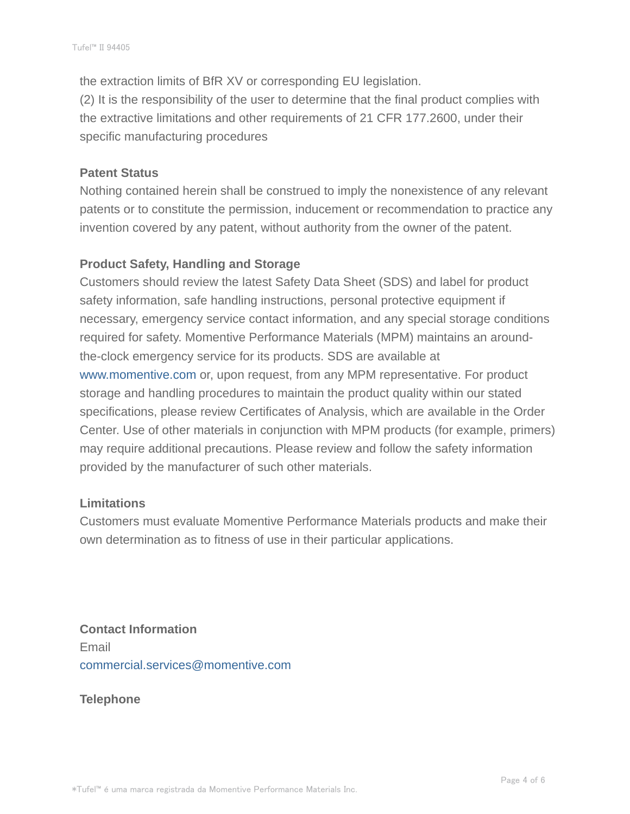the extraction limits of BfR XV or corresponding EU legislation. (2) It is the responsibility of the user to determine that the final product complies with the extractive limitations and other requirements of 21 CFR 177.2600, under their specific manufacturing procedures

#### **Patent Status**

Nothing contained herein shall be construed to imply the nonexistence of any relevant patents or to constitute the permission, inducement or recommendation to practice any invention covered by any patent, without authority from the owner of the patent.

#### **Product Safety, Handling and Storage**

Customers should review the latest Safety Data Sheet (SDS) and label for product safety information, safe handling instructions, personal protective equipment if necessary, emergency service contact information, and any special storage conditions required for safety. Momentive Performance Materials (MPM) maintains an aroundthe-clock emergency service for its products. SDS are available at www.momentive.com or, upon request, from any MPM representative. For product storage and handling procedures to maintain the product quality within our stated specifications, please review Certificates of Analysis, which are available in the Order Center. Use of other materials in conjunction with MPM products (for example, primers) may require additional precautions. Please review and follow the safety information provided by the manufacturer of such other materials.

#### **Limitations**

Customers must evaluate Momentive Performance Materials products and make their own determination as to fitness of use in their particular applications.

**Contact Information** Email commercial.services@momentive.com

**Telephone**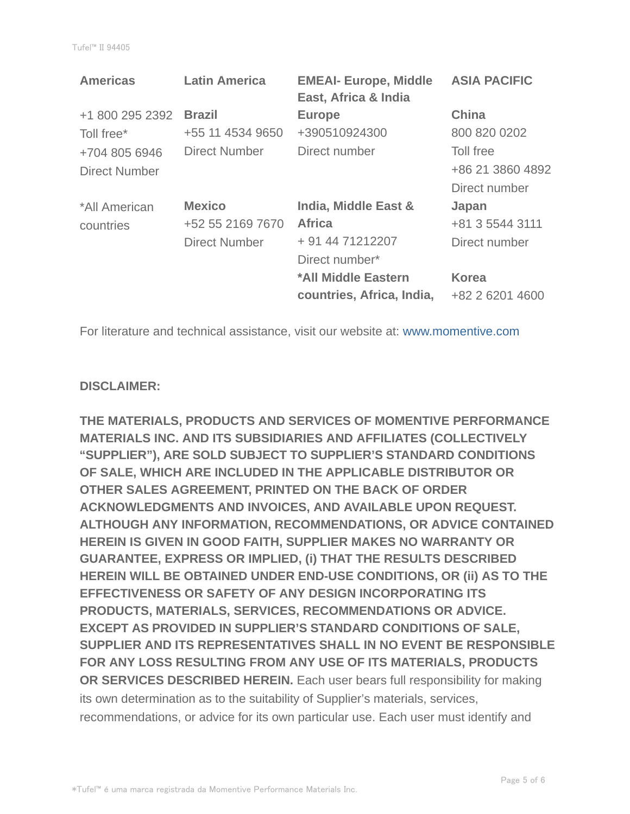| <b>Americas</b>      | <b>Latin America</b> | <b>EMEAI- Europe, Middle</b><br>East, Africa & India | <b>ASIA PACIFIC</b> |
|----------------------|----------------------|------------------------------------------------------|---------------------|
| +1 800 295 2392      | <b>Brazil</b>        | <b>Europe</b>                                        | <b>China</b>        |
| Toll free*           | +55 11 4534 9650     | +390510924300                                        | 800 820 0202        |
| +704 805 6946        | Direct Number        | Direct number                                        | Toll free           |
| <b>Direct Number</b> |                      |                                                      | +86 21 3860 4892    |
|                      |                      |                                                      | Direct number       |
| *All American        | <b>Mexico</b>        | India, Middle East &                                 | Japan               |
| countries            | +52 55 2169 7670     | <b>Africa</b>                                        | +81 3 5544 3111     |
|                      | <b>Direct Number</b> | + 91 44 71212207                                     | Direct number       |
|                      |                      | Direct number*                                       |                     |
|                      |                      | *All Middle Eastern                                  | <b>Korea</b>        |
|                      |                      | countries, Africa, India,                            | +82 2 6201 4600     |

For literature and technical assistance, visit our website at: www.momentive.com

#### **DISCLAIMER:**

**THE MATERIALS, PRODUCTS AND SERVICES OF MOMENTIVE PERFORMANCE MATERIALS INC. AND ITS SUBSIDIARIES AND AFFILIATES (COLLECTIVELY "SUPPLIER"), ARE SOLD SUBJECT TO SUPPLIER'S STANDARD CONDITIONS OF SALE, WHICH ARE INCLUDED IN THE APPLICABLE DISTRIBUTOR OR OTHER SALES AGREEMENT, PRINTED ON THE BACK OF ORDER ACKNOWLEDGMENTS AND INVOICES, AND AVAILABLE UPON REQUEST. ALTHOUGH ANY INFORMATION, RECOMMENDATIONS, OR ADVICE CONTAINED HEREIN IS GIVEN IN GOOD FAITH, SUPPLIER MAKES NO WARRANTY OR GUARANTEE, EXPRESS OR IMPLIED, (i) THAT THE RESULTS DESCRIBED HEREIN WILL BE OBTAINED UNDER END-USE CONDITIONS, OR (ii) AS TO THE EFFECTIVENESS OR SAFETY OF ANY DESIGN INCORPORATING ITS PRODUCTS, MATERIALS, SERVICES, RECOMMENDATIONS OR ADVICE. EXCEPT AS PROVIDED IN SUPPLIER'S STANDARD CONDITIONS OF SALE, SUPPLIER AND ITS REPRESENTATIVES SHALL IN NO EVENT BE RESPONSIBLE FOR ANY LOSS RESULTING FROM ANY USE OF ITS MATERIALS, PRODUCTS OR SERVICES DESCRIBED HEREIN.** Each user bears full responsibility for making its own determination as to the suitability of Supplier's materials, services, recommendations, or advice for its own particular use. Each user must identify and